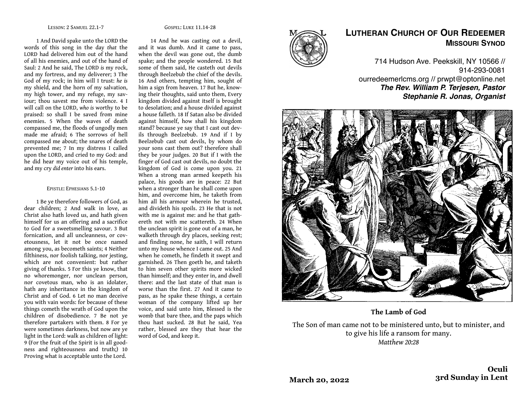#### GOSPEL: LUKE 11.14-28

1 And David spake unto the LORD the words of this song in the day *that* the LORD had delivered him out of the hand of all his enemies, and out of the hand of Saul: 2 And he said, The LORD *is* my rock, and my fortress, and my deliverer; 3 The God of my rock; in him will I trust: *he is*  my shield, and the horn of my salvation, my high tower, and my refuge, my saviour; thou savest me from violence. 4 I will call on the LORD, *who is* worthy to be praised: so shall I be saved from mine enemies. 5 When the waves of death compassed me, the floods of ungodly men made me afraid; 6 The sorrows of hell compassed me about; the snares of death prevented me; 7 In my distress I called upon the LORD, and cried to my God: and he did hear my voice out of his temple, and my cry *did enter* into his ears.

### EPISTLE: EPHESIANS 5.1-10

1 Be ye therefore followers of God, as dear children; 2 And walk in love, as Christ also hath loved us, and hath given himself for us an offering and a sacrifice to God for a sweetsmelling savour. 3 But fornication, and all uncleanness, or covetousness, let it not be once named among you, as becometh saints; 4 Neither filthiness, nor foolish talking, nor jesting, which are not convenient: but rather giving of thanks. 5 For this ye know, that no whoremonger, nor unclean person, nor covetous man, who is an idolater, hath any inheritance in the kingdom of Christ and of God. 6 Let no man deceive you with vain words: for because of these things cometh the wrath of God upon the children of disobedience. 7 Be not ye therefore partakers with them. 8 For ye were sometimes darkness, but now are ye light in the Lord: walk as children of light: 9 (For the fruit of the Spirit is in all goodness and righteousness and truth;) 10 Proving what is acceptable unto the Lord.

14 And he was casting out a devil, and it was dumb. And it came to pass, when the devil was gone out, the dumb spake; and the people wondered. 15 But some of them said, He casteth out devils through Beelzebub the chief of the devils. 16 And others, tempting him, sought of him a sign from heaven. 17 But he, knowing their thoughts, said unto them, Every kingdom divided against itself is brought to desolation; and a house divided against a house falleth. 18 If Satan also be divided against himself, how shall his kingdom stand? because ye say that I cast out devils through Beelzebub. 19 And if I by Beelzebub cast out devils, by whom do your sons cast them out? therefore shall they be your judges. 20 But if I with the finger of God cast out devils, no doubt the kingdom of God is come upon you. 21 When a strong man armed keepeth his palace, his goods are in peace: 22 But when a stronger than he shall come upon him, and overcome him, he taketh from him all his armour wherein he trusted, and divideth his spoils. 23 He that is not with me is against me: and he that gathereth not with me scattereth. 24 When the unclean spirit is gone out of a man, he walketh through dry places, seeking rest; and finding none, he saith, I will return unto my house whence I came out. 25 And when he cometh, he findeth it swept and garnished. 26 Then goeth he, and taketh to him seven other spirits more wicked than himself; and they enter in, and dwell there: and the last state of that man is worse than the first. 27 And it came to pass, as he spake these things, a certain woman of the company lifted up her voice, and said unto him, Blessed is the womb that bare thee, and the paps which thou hast sucked. 28 But he said, Yea rather, blessed are they that hear the word of God, and keep it.



# **LUTHERAN CHURCH OF OUR REDEEMER MISSOURI SYNOD**

714 Hudson Ave. Peekskill, NY 10566 // 914-293-0081 ourredeemerlcms.org // prwpt@optonline.net *The Rev. William P. Terjesen, Pastor Stephanie R. Jonas, Organist*



**The Lamb of God**

The Son of man came not to be ministered unto, but to minister, and to give his life a ransom for many. *Matthew 20:28*

**March 20, 2022**

**Oculi 3rd Sunday in Lent**